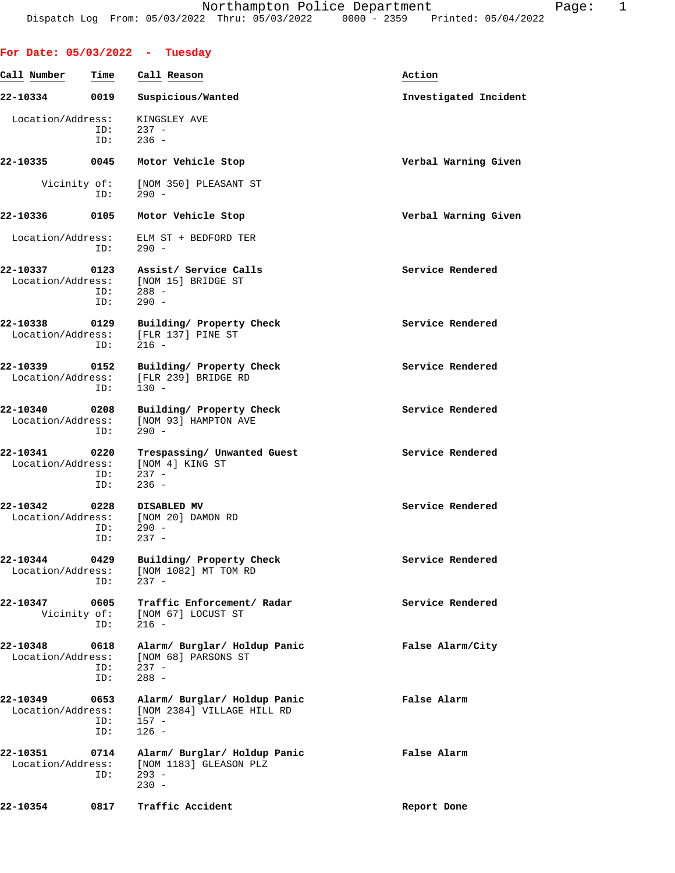| For Date: $05/03/2022 - Tuesday$   |                    |                                                                                  |                       |
|------------------------------------|--------------------|----------------------------------------------------------------------------------|-----------------------|
| Call Number                        | Time               | Call Reason                                                                      | Action                |
| 22-10334                           | 0019               | Suspicious/Wanted                                                                | Investigated Incident |
| Location/Address:                  | ID:<br>ID:         | KINGSLEY AVE<br>$237 -$<br>$236 -$                                               |                       |
| 22-10335                           | 0045               | Motor Vehicle Stop                                                               | Verbal Warning Given  |
| Vicinity of:                       | ID:                | [NOM 350] PLEASANT ST<br>$290 -$                                                 |                       |
| 22-10336                           | 0105               | Motor Vehicle Stop                                                               | Verbal Warning Given  |
| Location/Address:                  | ID:                | ELM ST + BEDFORD TER<br>$290 -$                                                  |                       |
| 22-10337<br>Location/Address:      | 0123<br>ID:<br>ID: | Assist/ Service Calls<br>[NOM 15] BRIDGE ST<br>$288 -$<br>$290 -$                | Service Rendered      |
| 22-10338<br>Location/Address:      | 0129<br>ID:        | Building/ Property Check<br>[FLR 137] PINE ST<br>$216 -$                         | Service Rendered      |
| 22-10339<br>Location/Address:      | 0152<br>ID:        | Building/ Property Check<br>[FLR 239] BRIDGE RD<br>$130 -$                       | Service Rendered      |
| 22-10340<br>Location/Address:      | 0208<br>ID:        | Building/ Property Check<br>[NOM 93] HAMPTON AVE<br>$290 -$                      | Service Rendered      |
| 22-10341<br>Location/Address:      | 0220<br>ID:<br>ID: | Trespassing/ Unwanted Guest<br>[NOM 4] KING ST<br>$237 -$<br>$236 -$             | Service Rendered      |
| 22-10342 0228<br>Location/Address: | ID:<br>ID:         | <b>DISABLED MV</b><br>[NOM 20] DAMON RD<br>$290 -$<br>$237 -$                    | Service Rendered      |
| 22-10344<br>Location/Address:      | 0429<br>ID:        | Building/ Property Check<br>[NOM 1082] MT TOM RD<br>$237 -$                      | Service Rendered      |
| 22-10347<br>Vicinity of:           | 0605<br>ID:        | Traffic Enforcement/ Radar<br>[NOM 67] LOCUST ST<br>$216 -$                      | Service Rendered      |
| 22-10348<br>Location/Address:      | 0618<br>ID:<br>ID: | Alarm/ Burglar/ Holdup Panic<br>[NOM 68] PARSONS ST<br>$237 -$<br>$288 -$        | False Alarm/City      |
| 22-10349<br>Location/Address:      | 0653<br>ID:<br>ID: | Alarm/ Burglar/ Holdup Panic<br>[NOM 2384] VILLAGE HILL RD<br>$157 -$<br>$126 -$ | False Alarm           |
| 22-10351<br>Location/Address:      | 0714<br>ID:        | Alarm/ Burglar/ Holdup Panic<br>[NOM 1183] GLEASON PLZ<br>$293 -$<br>$230 -$     | False Alarm           |
| 22-10354                           | 0817               | Traffic Accident                                                                 | Report Done           |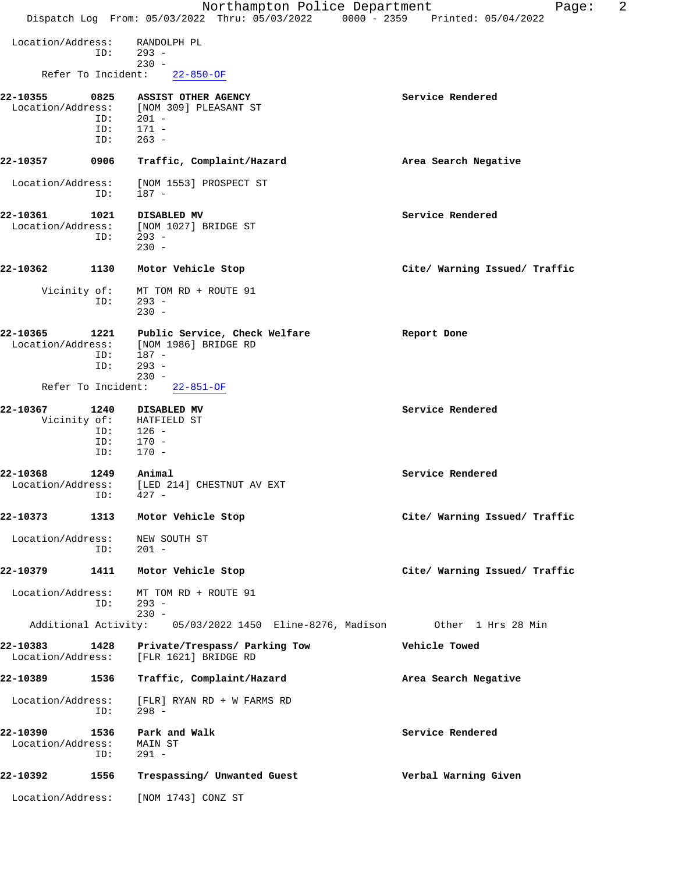|                               |                    | Northampton Police Department<br>Dispatch Log From: 05/03/2022 Thru: 05/03/2022 0000 - 2359 Printed: 05/04/2022 | 2<br>Page:                    |
|-------------------------------|--------------------|-----------------------------------------------------------------------------------------------------------------|-------------------------------|
|                               |                    |                                                                                                                 |                               |
| Location/Address:             | ID:                | RANDOLPH PL<br>$293 -$                                                                                          |                               |
|                               | Refer To Incident: | $230 -$<br>$22 - 850 - OF$                                                                                      |                               |
|                               |                    |                                                                                                                 |                               |
| 22-10355<br>Location/Address: | 0825<br>ID:        | ASSIST OTHER AGENCY<br>[NOM 309] PLEASANT ST<br>$201 -$                                                         | Service Rendered              |
|                               | ID:<br>ID:         | $171 -$<br>$263 -$                                                                                              |                               |
| 22-10357                      | 0906               | Traffic, Complaint/Hazard                                                                                       | Area Search Negative          |
| Location/Address:             | ID:                | [NOM 1553] PROSPECT ST<br>187 -                                                                                 |                               |
| 22-10361                      | 1021               | DISABLED MV                                                                                                     | Service Rendered              |
| Location/Address:             |                    | [NOM 1027] BRIDGE ST                                                                                            |                               |
|                               | ID:                | $293 -$<br>$230 -$                                                                                              |                               |
|                               |                    |                                                                                                                 |                               |
| 22-10362                      | 1130               | Motor Vehicle Stop                                                                                              | Cite/ Warning Issued/ Traffic |
| Vicinity of:                  |                    | MT TOM RD + ROUTE 91                                                                                            |                               |
|                               | ID:                | $293 -$<br>$230 -$                                                                                              |                               |
| 22-10365                      | 1221               | Public Service, Check Welfare                                                                                   | Report Done                   |
| Location/Address:             |                    | [NOM 1986] BRIDGE RD<br>$187 -$                                                                                 |                               |
|                               | ID:<br>ID:         | $293 -$                                                                                                         |                               |
|                               |                    | $230 -$                                                                                                         |                               |
|                               | Refer To Incident: | $22 - 851 - OF$                                                                                                 |                               |
| 22-10367                      | 1240               | DISABLED MV                                                                                                     | Service Rendered              |
| Vicinity of:                  | ID:                | HATFIELD ST<br>$126 -$                                                                                          |                               |
|                               | ID:                | $170 -$                                                                                                         |                               |
|                               | ID:                | $170 -$                                                                                                         |                               |
| 22-10368                      | 1249               | Animal                                                                                                          | Service Rendered              |
| Location/Address:             |                    | [LED 214] CHESTNUT AV EXT                                                                                       |                               |
|                               | ID: 427 -          |                                                                                                                 |                               |
| 22-10373                      | 1313               | Motor Vehicle Stop                                                                                              | Cite/ Warning Issued/ Traffic |
| Location/Address:             | ID:                | NEW SOUTH ST<br>201 -                                                                                           |                               |
| 22-10379                      | 1411               | Motor Vehicle Stop                                                                                              | Cite/ Warning Issued/ Traffic |
| Location/Address:             | ID:                | MT TOM RD + ROUTE 91<br>293 -<br>$230 -$                                                                        |                               |
|                               |                    | Additional Activity: 05/03/2022 1450 Eline-8276, Madison 0ther 1 Hrs 28 Min                                     |                               |
| 22-10383<br>Location/Address: | 1428               | Private/Trespass/ Parking Tow<br>[FLR 1621] BRIDGE RD                                                           | Vehicle Towed                 |
| 22-10389                      | 1536               | Traffic, Complaint/Hazard                                                                                       | Area Search Negative          |
| Location/Address:             | ID:                | [FLR] RYAN RD + W FARMS RD<br>$298 -$                                                                           |                               |
| 22-10390                      | 1536               | Park and Walk                                                                                                   | Service Rendered              |
| Location/Address:             | ID:                | MAIN ST<br>291 -                                                                                                |                               |
| 22-10392                      | 1556               | Trespassing/ Unwanted Guest                                                                                     | Verbal Warning Given          |
| Location/Address:             |                    | [NOM 1743] CONZ ST                                                                                              |                               |
|                               |                    |                                                                                                                 |                               |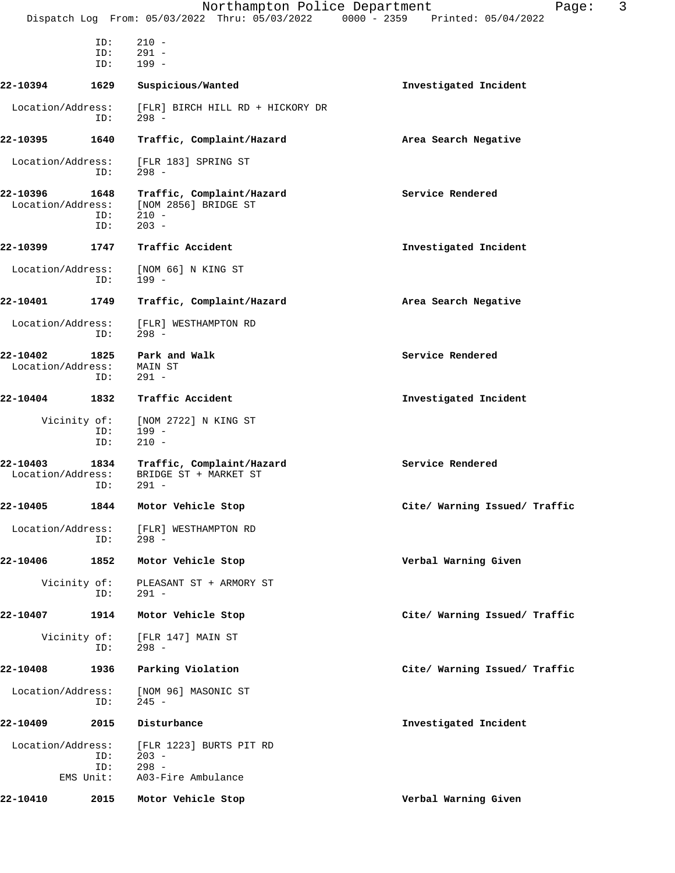|                               |                            | Northampton Police Department<br>Dispatch Log From: 05/03/2022 Thru: 05/03/2022 0000 - 2359 Printed: 05/04/2022 | 3<br>Page:                    |
|-------------------------------|----------------------------|-----------------------------------------------------------------------------------------------------------------|-------------------------------|
|                               | ID:<br>ID:<br>ID:          | $210 -$<br>$291 -$<br>$199 -$                                                                                   |                               |
| 22-10394                      | 1629                       | Suspicious/Wanted                                                                                               | Investigated Incident         |
| Location/Address:             | ID:                        | [FLR] BIRCH HILL RD + HICKORY DR<br>$298 -$                                                                     |                               |
| 22-10395                      | 1640                       | Traffic, Complaint/Hazard                                                                                       | Area Search Negative          |
| Location/Address:             | ID:                        | [FLR 183] SPRING ST<br>$298 -$                                                                                  |                               |
| 22-10396<br>Location/Address: | 1648<br>ID:<br>ID:         | Traffic, Complaint/Hazard<br>[NOM 2856] BRIDGE ST<br>$210 -$<br>$203 -$                                         | Service Rendered              |
| 22-10399                      | 1747                       | Traffic Accident                                                                                                | Investigated Incident         |
| Location/Address:             | ID:                        | [NOM 66] N KING ST<br>$199 -$                                                                                   |                               |
| 22-10401                      | 1749                       | Traffic, Complaint/Hazard                                                                                       | Area Search Negative          |
| Location/Address:             | ID:                        | [FLR] WESTHAMPTON RD<br>$298 -$                                                                                 |                               |
| 22-10402<br>Location/Address: | 1825<br>ID:                | Park and Walk<br>MAIN ST<br>$291 -$                                                                             | Service Rendered              |
| 22-10404                      | 1832                       | Traffic Accident                                                                                                | Investigated Incident         |
|                               | Vicinity of:<br>ID:<br>ID: | [NOM 2722] N KING ST<br>$199 -$<br>$210 -$                                                                      |                               |
| 22-10403<br>Location/Address: | 1834<br>ID:                | Traffic, Complaint/Hazard<br>BRIDGE ST + MARKET ST<br>$291 -$                                                   | Service Rendered              |
| 22-10405                      | 1844                       | Motor Vehicle Stop                                                                                              | Cite/ Warning Issued/ Traffic |
| Location/Address:             | ID:                        | [FLR] WESTHAMPTON RD<br>$298 -$                                                                                 |                               |
| 22-10406                      | 1852                       | Motor Vehicle Stop                                                                                              | Verbal Warning Given          |
|                               | Vicinity of:<br>ID:        | PLEASANT ST + ARMORY ST<br>$291 -$                                                                              |                               |
| 22-10407                      | 1914                       | Motor Vehicle Stop                                                                                              | Cite/ Warning Issued/ Traffic |
|                               | Vicinity of:<br>ID:        | [FLR 147] MAIN ST<br>$298 -$                                                                                    |                               |
| 22-10408                      | 1936                       | Parking Violation                                                                                               | Cite/ Warning Issued/ Traffic |
| Location/Address:             | ID:                        | [NOM 96] MASONIC ST<br>$245 -$                                                                                  |                               |
| 22-10409                      | 2015                       | Disturbance                                                                                                     | Investigated Incident         |
| Location/Address:             | ID:<br>ID:<br>EMS Unit:    | [FLR 1223] BURTS PIT RD<br>$203 -$<br>$298 -$<br>A03-Fire Ambulance                                             |                               |
| 22-10410                      | 2015                       | Motor Vehicle Stop                                                                                              | Verbal Warning Given          |
|                               |                            |                                                                                                                 |                               |